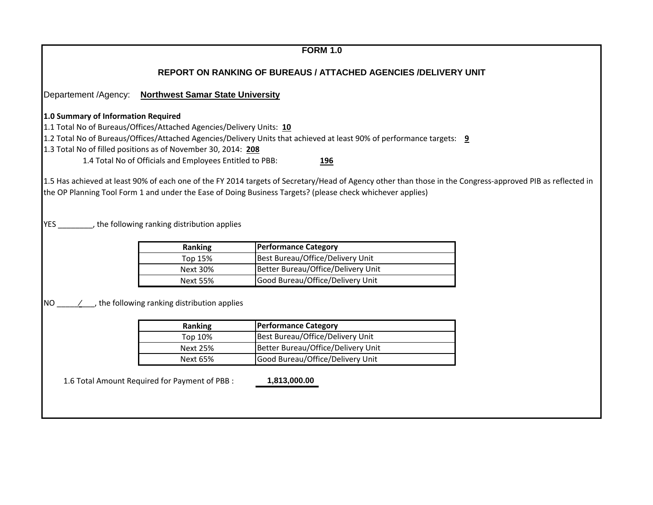| <b>REPORT ON RANKING OF BUREAUS / ATTACHED AGENCIES /DELIVERY UNIT</b><br><b>Northwest Samar State University</b><br>1.4 Total No of Officials and Employees Entitled to PBB:<br><b>196</b><br>Ranking<br><b>Performance Category</b><br>Best Bureau/Office/Delivery Unit<br>Top 15%<br>Better Bureau/Office/Delivery Unit<br><b>Next 30%</b><br>Good Bureau/Office/Delivery Unit<br><b>Next 55%</b><br>Ranking<br><b>Performance Category</b><br>Best Bureau/Office/Delivery Unit<br>Top 10%<br>Better Bureau/Office/Delivery Unit<br><b>Next 25%</b><br>Good Bureau/Office/Delivery Unit<br><b>Next 65%</b> |                      | <b>FORM 1.0</b> |
|---------------------------------------------------------------------------------------------------------------------------------------------------------------------------------------------------------------------------------------------------------------------------------------------------------------------------------------------------------------------------------------------------------------------------------------------------------------------------------------------------------------------------------------------------------------------------------------------------------------|----------------------|-----------------|
|                                                                                                                                                                                                                                                                                                                                                                                                                                                                                                                                                                                                               |                      |                 |
| 1.0 Summary of Information Required<br>1.1 Total No of Bureaus/Offices/Attached Agencies/Delivery Units: 10                                                                                                                                                                                                                                                                                                                                                                                                                                                                                                   | Departement /Agency: |                 |
| 1.2 Total No of Bureaus/Offices/Attached Agencies/Delivery Units that achieved at least 90% of performance targets: 9                                                                                                                                                                                                                                                                                                                                                                                                                                                                                         |                      |                 |
| 1.3 Total No of filled positions as of November 30, 2014: 208                                                                                                                                                                                                                                                                                                                                                                                                                                                                                                                                                 |                      |                 |
|                                                                                                                                                                                                                                                                                                                                                                                                                                                                                                                                                                                                               |                      |                 |
|                                                                                                                                                                                                                                                                                                                                                                                                                                                                                                                                                                                                               |                      |                 |
| 1.5 Has achieved at least 90% of each one of the FY 2014 targets of Secretary/Head of Agency other than those in the Congress-approved PIB as reflected in<br>the OP Planning Tool Form 1 and under the Ease of Doing Business Targets? (please check whichever applies)<br>YES _________, the following ranking distribution applies                                                                                                                                                                                                                                                                         |                      |                 |
| $NO \t /$ , the following ranking distribution applies                                                                                                                                                                                                                                                                                                                                                                                                                                                                                                                                                        |                      |                 |
|                                                                                                                                                                                                                                                                                                                                                                                                                                                                                                                                                                                                               |                      |                 |
|                                                                                                                                                                                                                                                                                                                                                                                                                                                                                                                                                                                                               |                      |                 |
|                                                                                                                                                                                                                                                                                                                                                                                                                                                                                                                                                                                                               |                      |                 |
|                                                                                                                                                                                                                                                                                                                                                                                                                                                                                                                                                                                                               |                      |                 |
|                                                                                                                                                                                                                                                                                                                                                                                                                                                                                                                                                                                                               |                      |                 |
|                                                                                                                                                                                                                                                                                                                                                                                                                                                                                                                                                                                                               |                      |                 |
|                                                                                                                                                                                                                                                                                                                                                                                                                                                                                                                                                                                                               |                      |                 |
|                                                                                                                                                                                                                                                                                                                                                                                                                                                                                                                                                                                                               |                      |                 |
| 1.6 Total Amount Required for Payment of PBB :<br>1,813,000.00                                                                                                                                                                                                                                                                                                                                                                                                                                                                                                                                                |                      |                 |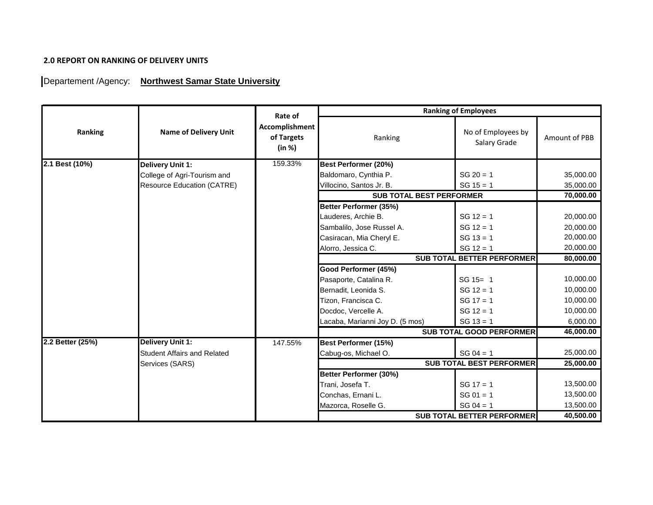## **2.0 REPORT ON RANKING OF DELIVERY UNITS**

## Departement /Agency: Northwest Samar State University

|                  |                                    | Rate of                                |                                 | <b>Ranking of Employees</b>        |               |
|------------------|------------------------------------|----------------------------------------|---------------------------------|------------------------------------|---------------|
| Ranking          | <b>Name of Delivery Unit</b>       | Accomplishment<br>of Targets<br>(in %) | Ranking                         | No of Employees by<br>Salary Grade | Amount of PBB |
| 2.1 Best (10%)   | Delivery Unit 1:                   | 159.33%                                | Best Performer (20%)            |                                    |               |
|                  | College of Agri-Tourism and        |                                        | Baldomaro, Cynthia P.           | $SG 20 = 1$                        | 35,000.00     |
|                  | Resource Education (CATRE)         |                                        | Villocino, Santos Jr. B.        | $SG 15 = 1$                        | 35,000.00     |
|                  |                                    |                                        | <b>SUB TOTAL BEST PERFORMER</b> |                                    | 70,000.00     |
|                  |                                    |                                        | Better Performer (35%)          |                                    |               |
|                  |                                    |                                        | Lauderes, Archie B.             | $SG 12 = 1$                        | 20,000.00     |
|                  |                                    |                                        | Sambalilo, Jose Russel A.       | $SG 12 = 1$                        | 20,000.00     |
|                  |                                    |                                        | Casiracan, Mia Cheryl E.        | $SG 13 = 1$                        | 20,000.00     |
|                  |                                    |                                        | Alorro, Jessica C.              | $SG 12 = 1$                        | 20,000.00     |
|                  |                                    |                                        |                                 | <b>SUB TOTAL BETTER PERFORMER</b>  | 80,000.00     |
|                  |                                    |                                        | Good Performer (45%)            |                                    |               |
|                  |                                    |                                        | Pasaporte, Catalina R.          | SG 15= 1                           | 10,000.00     |
|                  |                                    |                                        | Bernadit, Leonida S.            | $SG 12 = 1$                        | 10,000.00     |
|                  |                                    |                                        | Tizon, Francisca C.             | $SG 17 = 1$                        | 10,000.00     |
|                  |                                    |                                        | Docdoc, Vercelle A.             | $SG 12 = 1$                        | 10,000.00     |
|                  |                                    |                                        | Lacaba, Marianni Joy D. (5 mos) | $SG 13 = 1$                        | 6,000.00      |
|                  |                                    |                                        |                                 | <b>SUB TOTAL GOOD PERFORMER</b>    | 46,000.00     |
| 2.2 Better (25%) | <b>Delivery Unit 1:</b>            | 147.55%                                | <b>Best Performer (15%)</b>     |                                    |               |
|                  | <b>Student Affairs and Related</b> |                                        | Cabug-os, Michael O.            | $SG 04 = 1$                        | 25,000.00     |
|                  | Services (SARS)                    |                                        |                                 | <b>SUB TOTAL BEST PERFORMER</b>    | 25,000.00     |
|                  |                                    |                                        | Better Performer (30%)          |                                    |               |
|                  |                                    |                                        | Trani, Josefa T.                | $SG 17 = 1$                        | 13,500.00     |
|                  |                                    |                                        | Conchas, Ernani L.              | $SG 01 = 1$                        | 13,500.00     |
|                  |                                    |                                        | Mazorca, Roselle G.             | $SG 04 = 1$                        | 13,500.00     |
|                  |                                    |                                        |                                 | <b>SUB TOTAL BETTER PERFORMER</b>  | 40,500.00     |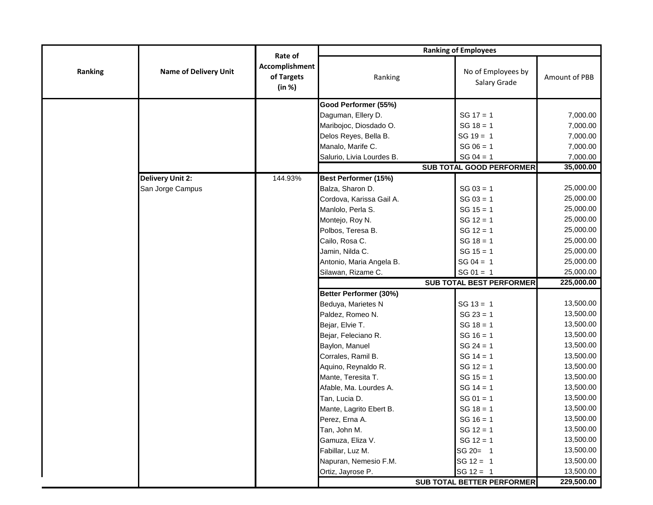|         |                              | Rate of<br>Accomplishment<br>of Targets<br>(in %) | <b>Ranking of Employees</b> |                                    |               |  |
|---------|------------------------------|---------------------------------------------------|-----------------------------|------------------------------------|---------------|--|
| Ranking | <b>Name of Delivery Unit</b> |                                                   | Ranking                     | No of Employees by<br>Salary Grade | Amount of PBB |  |
|         |                              |                                                   | Good Performer (55%)        |                                    |               |  |
|         |                              |                                                   | Daguman, Ellery D.          | $SG 17 = 1$                        | 7,000.00      |  |
|         |                              |                                                   | Maribojoc, Diosdado O.      | $SG 18 = 1$                        | 7,000.00      |  |
|         |                              |                                                   | Delos Reyes, Bella B.       | $SG 19 = 1$                        | 7,000.00      |  |
|         |                              |                                                   | Manalo, Marife C.           | $SG 06 = 1$                        | 7,000.00      |  |
|         |                              |                                                   | Salurio, Livia Lourdes B.   | $SG 04 = 1$                        | 7,000.00      |  |
|         |                              |                                                   |                             | <b>SUB TOTAL GOOD PERFORMER</b>    | 35,000.00     |  |
|         | <b>Delivery Unit 2:</b>      | 144.93%                                           | <b>Best Performer (15%)</b> |                                    |               |  |
|         | San Jorge Campus             |                                                   | Balza, Sharon D.            | $SG 03 = 1$                        | 25,000.00     |  |
|         |                              |                                                   | Cordova, Karissa Gail A.    | $SG 03 = 1$                        | 25,000.00     |  |
|         |                              |                                                   | Manlolo, Perla S.           | $SG 15 = 1$                        | 25,000.00     |  |
|         |                              |                                                   | Montejo, Roy N.             | $SG 12 = 1$                        | 25,000.00     |  |
|         |                              |                                                   | Polbos, Teresa B.           | $SG 12 = 1$                        | 25,000.00     |  |
|         |                              |                                                   | Cailo, Rosa C.              | $SG 18 = 1$                        | 25,000.00     |  |
|         |                              |                                                   | Jamin, Nilda C.             | $SG 15 = 1$                        | 25,000.00     |  |
|         |                              |                                                   | Antonio, Maria Angela B.    | $SG 04 = 1$                        | 25,000.00     |  |
|         |                              |                                                   | Silawan, Rizame C.          | $SG 01 = 1$                        | 25,000.00     |  |
|         |                              |                                                   |                             | <b>SUB TOTAL BEST PERFORMER</b>    | 225,000.00    |  |
|         |                              |                                                   | Better Performer (30%)      |                                    |               |  |
|         |                              |                                                   | Beduya, Marietes N          | $SG 13 = 1$                        | 13,500.00     |  |
|         |                              |                                                   | Paldez, Romeo N.            | $SG 23 = 1$                        | 13,500.00     |  |
|         |                              |                                                   | Bejar, Elvie T.             | $SG 18 = 1$                        | 13,500.00     |  |
|         |                              |                                                   | Bejar, Feleciano R.         | $SG 16 = 1$                        | 13,500.00     |  |
|         |                              |                                                   | Baylon, Manuel              | $SG 24 = 1$                        | 13,500.00     |  |
|         |                              |                                                   | Corrales, Ramil B.          | $SG 14 = 1$                        | 13,500.00     |  |
|         |                              |                                                   | Aquino, Reynaldo R.         | $SG 12 = 1$                        | 13,500.00     |  |
|         |                              |                                                   | Mante, Teresita T.          | $SG 15 = 1$                        | 13,500.00     |  |
|         |                              |                                                   | Afable, Ma. Lourdes A.      | $SG 14 = 1$                        | 13,500.00     |  |
|         |                              |                                                   | Tan, Lucia D.               | $SG 01 = 1$                        | 13,500.00     |  |
|         |                              |                                                   | Mante, Lagrito Ebert B.     | $SG 18 = 1$                        | 13,500.00     |  |
|         |                              |                                                   | Perez, Erna A.              | $SG 16 = 1$                        | 13,500.00     |  |
|         |                              |                                                   | Tan, John M.                | $SG 12 = 1$                        | 13,500.00     |  |
|         |                              |                                                   | Gamuza, Eliza V.            | $SG 12 = 1$                        | 13,500.00     |  |
|         |                              |                                                   | Fabillar, Luz M.            | SG 20= 1                           | 13,500.00     |  |
|         |                              |                                                   | Napuran, Nemesio F.M.       | $SG 12 = 1$                        | 13,500.00     |  |
|         |                              |                                                   | Ortiz, Jayrose P.           | $SG 12 = 1$                        | 13,500.00     |  |
|         |                              |                                                   |                             | SUB TOTAL BETTER PERFORMER         | 229,500.00    |  |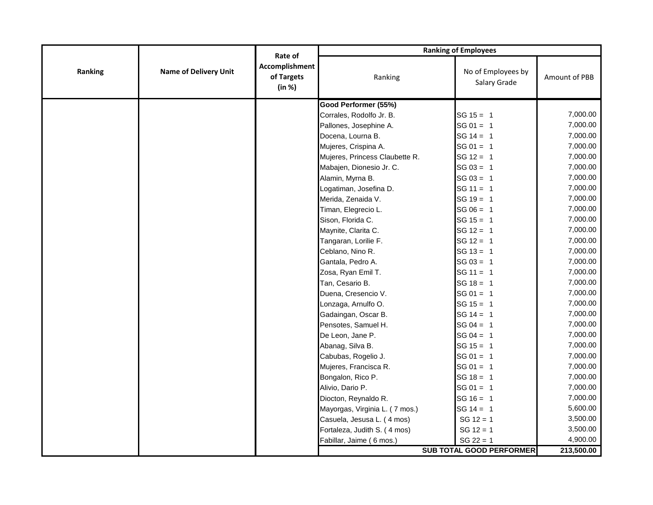|         |                              | Rate of                                | <b>Ranking of Employees</b>    |                                    |               |  |
|---------|------------------------------|----------------------------------------|--------------------------------|------------------------------------|---------------|--|
| Ranking | <b>Name of Delivery Unit</b> | Accomplishment<br>of Targets<br>(in %) | Ranking                        | No of Employees by<br>Salary Grade | Amount of PBB |  |
|         |                              |                                        | Good Performer (55%)           |                                    |               |  |
|         |                              |                                        | Corrales, Rodolfo Jr. B.       | $SG 15 = 1$                        | 7,000.00      |  |
|         |                              |                                        | Pallones, Josephine A.         | $SG 01 = 1$                        | 7,000.00      |  |
|         |                              |                                        | Docena, Lourna B.              | $SG 14 = 1$                        | 7,000.00      |  |
|         |                              |                                        | Mujeres, Crispina A.           | $SG 01 = 1$                        | 7,000.00      |  |
|         |                              |                                        | Mujeres, Princess Claubette R. | $SG 12 = 1$                        | 7,000.00      |  |
|         |                              |                                        | Mabajen, Dionesio Jr. C.       | $SG 03 = 1$                        | 7,000.00      |  |
|         |                              |                                        | Alamin, Myrna B.               | $SG 03 = 1$                        | 7,000.00      |  |
|         |                              |                                        | Logatiman, Josefina D.         | $SG 11 = 1$                        | 7,000.00      |  |
|         |                              |                                        | Merida, Zenaida V.             | $SG 19 = 1$                        | 7,000.00      |  |
|         |                              |                                        | Timan, Elegrecio L.            | $SG 06 = 1$                        | 7,000.00      |  |
|         |                              |                                        | Sison, Florida C.              | $SG 15 = 1$                        | 7,000.00      |  |
|         |                              |                                        | Maynite, Clarita C.            | $SG 12 = 1$                        | 7,000.00      |  |
|         |                              |                                        | Tangaran, Lorilie F.           | $SG 12 = 1$                        | 7,000.00      |  |
|         |                              |                                        | Ceblano, Nino R.               | $SG 13 = 1$                        | 7,000.00      |  |
|         |                              |                                        | Gantala, Pedro A.              | $SG 03 = 1$                        | 7,000.00      |  |
|         |                              |                                        | Zosa, Ryan Emil T.             | $SG 11 = 1$                        | 7,000.00      |  |
|         |                              |                                        | Tan, Cesario B.                | $SG 18 = 1$                        | 7,000.00      |  |
|         |                              |                                        | Duena, Cresencio V.            | $SG 01 = 1$                        | 7,000.00      |  |
|         |                              |                                        | Lonzaga, Arnulfo O.            | $SG 15 = 1$                        | 7,000.00      |  |
|         |                              |                                        | Gadaingan, Oscar B.            | $SG 14 = 1$                        | 7,000.00      |  |
|         |                              |                                        | Pensotes, Samuel H.            | $SG 04 = 1$                        | 7,000.00      |  |
|         |                              |                                        | De Leon, Jane P.               | $SG 04 = 1$                        | 7,000.00      |  |
|         |                              |                                        | Abanag, Silva B.               | $SG 15 = 1$                        | 7,000.00      |  |
|         |                              |                                        | Cabubas, Rogelio J.            | $SG 01 = 1$                        | 7,000.00      |  |
|         |                              |                                        | Mujeres, Francisca R.          | $SG 01 = 1$                        | 7,000.00      |  |
|         |                              |                                        | Bongalon, Rico P.              | $SG 18 = 1$                        | 7,000.00      |  |
|         |                              |                                        | Alivio, Dario P.               | $SG 01 = 1$                        | 7,000.00      |  |
|         |                              |                                        | Diocton, Reynaldo R.           | $SG 16 = 1$                        | 7,000.00      |  |
|         |                              |                                        | Mayorgas, Virginia L. (7 mos.) | $SG 14 = 1$                        | 5,600.00      |  |
|         |                              |                                        | Casuela, Jesusa L. (4 mos)     | $SG 12 = 1$                        | 3,500.00      |  |
|         |                              |                                        | Fortaleza, Judith S. (4 mos)   | $SG 12 = 1$                        | 3,500.00      |  |
|         |                              |                                        | Fabillar, Jaime (6 mos.)       | $SG 22 = 1$                        | 4,900.00      |  |
|         |                              |                                        |                                | <b>SUB TOTAL GOOD PERFORMER</b>    | 213,500.00    |  |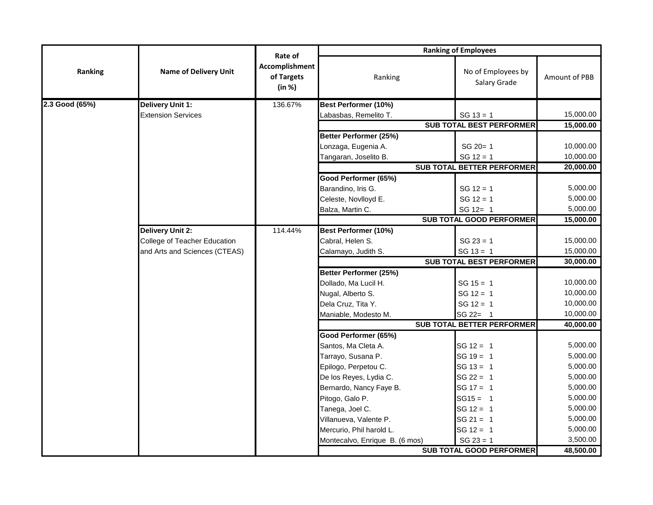|                | <b>Name of Delivery Unit</b>  | Rate of<br>Accomplishment<br>of Targets<br>(in %) | <b>Ranking of Employees</b>    |                                    |               |  |
|----------------|-------------------------------|---------------------------------------------------|--------------------------------|------------------------------------|---------------|--|
| Ranking        |                               |                                                   | Ranking                        | No of Employees by<br>Salary Grade | Amount of PBB |  |
| 2.3 Good (65%) | Delivery Unit 1:              | 136.67%                                           | Best Performer (10%)           |                                    |               |  |
|                | <b>Extension Services</b>     |                                                   | Labasbas, Remelito T.          | $SG 13 = 1$                        | 15,000.00     |  |
|                |                               |                                                   |                                | <b>SUB TOTAL BEST PERFORMER</b>    | 15,000.00     |  |
|                |                               |                                                   | Better Performer (25%)         |                                    |               |  |
|                |                               |                                                   | Lonzaga, Eugenia A.            | SG 20= 1                           | 10,000.00     |  |
|                |                               |                                                   | Tangaran, Joselito B.          | $SG 12 = 1$                        | 10,000.00     |  |
|                |                               |                                                   |                                | <b>SUB TOTAL BETTER PERFORMER</b>  | 20,000.00     |  |
|                |                               |                                                   | Good Performer (65%)           |                                    |               |  |
|                |                               |                                                   | Barandino, Iris G.             | $SG 12 = 1$                        | 5,000.00      |  |
|                |                               |                                                   | Celeste, Novlloyd E.           | $SG 12 = 1$                        | 5,000.00      |  |
|                |                               |                                                   | Balza, Martin C.               | $SG 12 = 1$                        | 5,000.00      |  |
|                |                               |                                                   |                                | <b>SUB TOTAL GOOD PERFORMER</b>    | 15,000.00     |  |
|                | <b>Delivery Unit 2:</b>       | 114.44%                                           | <b>Best Performer (10%)</b>    |                                    |               |  |
|                | College of Teacher Education  |                                                   | Cabral, Helen S.               | $SG 23 = 1$                        | 15,000.00     |  |
|                | and Arts and Sciences (CTEAS) |                                                   | Calamayo, Judith S.            | $SG 13 = 1$                        | 15,000.00     |  |
|                |                               |                                                   |                                | <b>SUB TOTAL BEST PERFORMER</b>    | 30,000.00     |  |
|                |                               |                                                   | Better Performer (25%)         |                                    |               |  |
|                |                               |                                                   | Dollado, Ma Lucil H.           | $SG 15 = 1$                        | 10,000.00     |  |
|                |                               |                                                   | Nugal, Alberto S.              | $SG 12 = 1$                        | 10,000.00     |  |
|                |                               |                                                   | Dela Cruz, Tita Y.             | $SG 12 = 1$                        | 10,000.00     |  |
|                |                               |                                                   | Maniable, Modesto M.           | SG 22= 1                           | 10,000.00     |  |
|                |                               |                                                   |                                | <b>SUB TOTAL BETTER PERFORMER</b>  | 40,000.00     |  |
|                |                               |                                                   | Good Performer (65%)           |                                    |               |  |
|                |                               |                                                   | Santos, Ma Cleta A.            | $SG 12 = 1$                        | 5,000.00      |  |
|                |                               |                                                   | Tarrayo, Susana P.             | $SG 19 = 1$                        | 5,000.00      |  |
|                |                               |                                                   | Epilogo, Perpetou C.           | $SG 13 = 1$                        | 5,000.00      |  |
|                |                               |                                                   | De los Reyes, Lydia C.         | $SG 22 = 1$                        | 5,000.00      |  |
|                |                               |                                                   | Bernardo, Nancy Faye B.        | $SG 17 = 1$                        | 5,000.00      |  |
|                |                               |                                                   | Pitogo, Galo P.                | $SG15 = 1$                         | 5,000.00      |  |
|                |                               |                                                   | Tanega, Joel C.                | $SG 12 = 1$                        | 5,000.00      |  |
|                |                               |                                                   | Villanueva, Valente P.         | $SG 21 = 1$                        | 5,000.00      |  |
|                |                               |                                                   | Mercurio, Phil harold L.       | $SG 12 = 1$                        | 5,000.00      |  |
|                |                               |                                                   | Montecalvo, Enrique B. (6 mos) | $SG 23 = 1$                        | 3,500.00      |  |
|                |                               |                                                   |                                | <b>SUB TOTAL GOOD PERFORMER</b>    | 48,500.00     |  |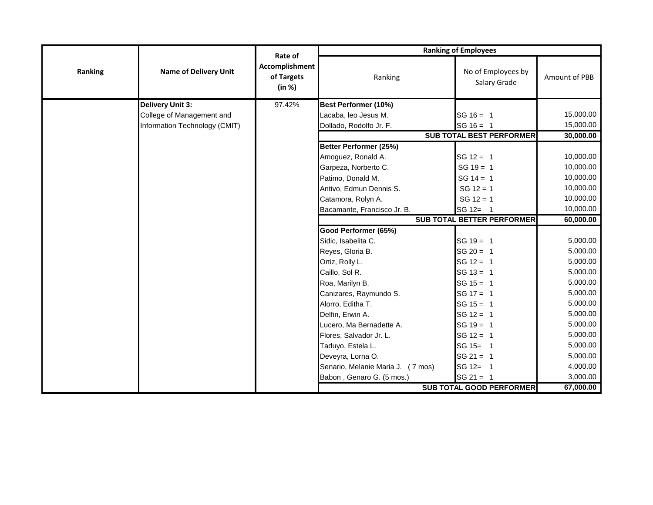|         | <b>Name of Delivery Unit</b>  | Rate of<br>Accomplishment<br>of Targets<br>(in %) | <b>Ranking of Employees</b>       |                                    |               |  |
|---------|-------------------------------|---------------------------------------------------|-----------------------------------|------------------------------------|---------------|--|
| Ranking |                               |                                                   | Ranking                           | No of Employees by<br>Salary Grade | Amount of PBB |  |
|         | Delivery Unit 3:              | 97.42%                                            | Best Performer (10%)              |                                    |               |  |
|         | College of Management and     |                                                   | Lacaba, leo Jesus M.              | $SG 16 = 1$                        | 15,000.00     |  |
|         | Information Technology (CMIT) |                                                   | Dollado, Rodolfo Jr. F.           | $SG 16 = 1$                        | 15,000.00     |  |
|         |                               |                                                   |                                   | <b>SUB TOTAL BEST PERFORMER</b>    | 30,000.00     |  |
|         |                               |                                                   | Better Performer (25%)            |                                    |               |  |
|         |                               |                                                   | Amoguez, Ronald A.                | $SG 12 = 1$                        | 10,000.00     |  |
|         |                               |                                                   | Garpeza, Norberto C.              | $SG 19 = 1$                        | 10,000.00     |  |
|         |                               |                                                   | Patimo, Donald M.                 | $SG 14 = 1$                        | 10,000.00     |  |
|         |                               |                                                   | Antivo, Edmun Dennis S.           | $SG 12 = 1$                        | 10,000.00     |  |
|         |                               |                                                   | Catamora, Rolyn A.                | $SG 12 = 1$                        | 10,000.00     |  |
|         |                               |                                                   | Bacamante, Francisco Jr. B.       | SG 12= 1                           | 10,000.00     |  |
|         |                               |                                                   |                                   | <b>SUB TOTAL BETTER PERFORMER</b>  | 60,000.00     |  |
|         |                               |                                                   | Good Performer (65%)              |                                    |               |  |
|         |                               |                                                   | Sidic, Isabelita C.               | $SG 19 = 1$                        | 5,000.00      |  |
|         |                               |                                                   | Reyes, Gloria B.                  | $SG 20 = 1$                        | 5,000.00      |  |
|         |                               |                                                   | Ortiz, Rolly L.                   | $SG 12 = 1$                        | 5,000.00      |  |
|         |                               |                                                   | Caillo, Sol R.                    | $SG 13 = 1$                        | 5,000.00      |  |
|         |                               |                                                   | Roa, Marilyn B.                   | $SG 15 = 1$                        | 5,000.00      |  |
|         |                               |                                                   | Canizares, Raymundo S.            | $SG 17 = 1$                        | 5,000.00      |  |
|         |                               |                                                   | Alorro, Editha T.                 | $SG 15 = 1$                        | 5,000.00      |  |
|         |                               |                                                   | Delfin, Erwin A.                  | $SG 12 = 1$                        | 5,000.00      |  |
|         |                               |                                                   | Lucero, Ma Bernadette A.          | $SG 19 = 1$                        | 5,000.00      |  |
|         |                               |                                                   | Flores, Salvador Jr. L.           | $SG 12 = 1$                        | 5,000.00      |  |
|         |                               |                                                   | Taduyo, Estela L.                 | SG 15= 1                           | 5,000.00      |  |
|         |                               |                                                   | Deveyra, Lorna O.                 | $SG 21 = 1$                        | 5,000.00      |  |
|         |                               |                                                   | Senario, Melanie Maria J. (7 mos) | SG 12= 1                           | 4,000.00      |  |
|         |                               |                                                   | Babon, Genaro G. (5 mos.)         | $SG 21 = 1$                        | 3,000.00      |  |
|         |                               |                                                   |                                   | <b>SUB TOTAL GOOD PERFORMER</b>    | 67,000.00     |  |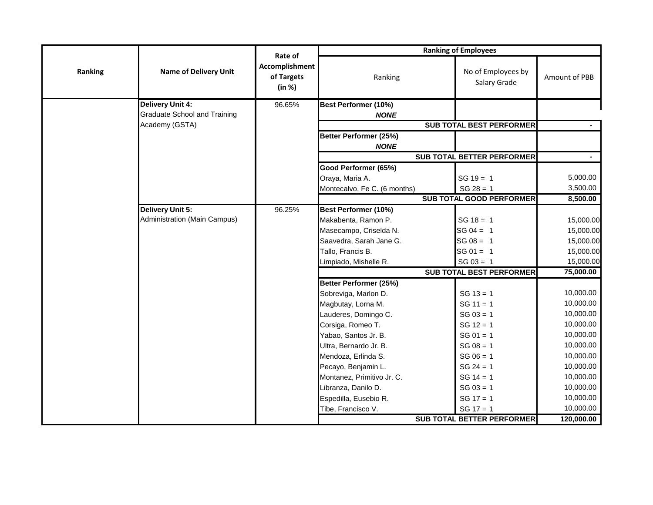|         |                                     |                                                   | <b>Ranking of Employees</b>           |                                    |                |  |
|---------|-------------------------------------|---------------------------------------------------|---------------------------------------|------------------------------------|----------------|--|
| Ranking | <b>Name of Delivery Unit</b>        | Rate of<br>Accomplishment<br>of Targets<br>(in %) | Ranking                               | No of Employees by<br>Salary Grade | Amount of PBB  |  |
|         | <b>Delivery Unit 4:</b>             | 96.65%                                            | Best Performer (10%)                  |                                    |                |  |
|         | <b>Graduate School and Training</b> |                                                   | <b>NONE</b>                           |                                    |                |  |
|         | Academy (GSTA)                      |                                                   |                                       | <b>SUB TOTAL BEST PERFORMER</b>    |                |  |
|         |                                     |                                                   | Better Performer (25%)<br><b>NONE</b> |                                    |                |  |
|         |                                     |                                                   |                                       | <b>SUB TOTAL BETTER PERFORMER</b>  | $\blacksquare$ |  |
|         |                                     |                                                   | Good Performer (65%)                  |                                    |                |  |
|         |                                     |                                                   | Oraya, Maria A.                       | $SG 19 = 1$                        | 5,000.00       |  |
|         |                                     |                                                   | Montecalvo, Fe C. (6 months)          | $SG 28 = 1$                        | 3,500.00       |  |
|         |                                     |                                                   |                                       | <b>SUB TOTAL GOOD PERFORMER</b>    | 8,500.00       |  |
|         | <b>Delivery Unit 5:</b>             | 96.25%                                            | Best Performer (10%)                  |                                    |                |  |
|         | Administration (Main Campus)        |                                                   | Makabenta, Ramon P.                   | $SG 18 = 1$                        | 15,000.00      |  |
|         |                                     |                                                   | Masecampo, Criselda N.                | $SG 04 = 1$                        | 15,000.00      |  |
|         |                                     |                                                   | Saavedra, Sarah Jane G.               | $SG 08 = 1$                        | 15,000.00      |  |
|         |                                     |                                                   | Tallo, Francis B.                     | $SG 01 = 1$                        | 15,000.00      |  |
|         |                                     |                                                   | Limpiado, Mishelle R.                 | $SG 03 = 1$                        | 15,000.00      |  |
|         |                                     |                                                   |                                       | <b>SUB TOTAL BEST PERFORMER</b>    | 75,000.00      |  |
|         |                                     |                                                   | Better Performer (25%)                |                                    |                |  |
|         |                                     |                                                   | Sobreviga, Marlon D.                  | $SG 13 = 1$                        | 10,000.00      |  |
|         |                                     |                                                   | Magbutay, Lorna M.                    | $SG 11 = 1$                        | 10,000.00      |  |
|         |                                     |                                                   | Lauderes, Domingo C.                  | $SG 03 = 1$                        | 10,000.00      |  |
|         |                                     |                                                   | Corsiga, Romeo T.                     | $SG 12 = 1$                        | 10,000.00      |  |
|         |                                     |                                                   | Yabao, Santos Jr. B.                  | $SG 01 = 1$                        | 10,000.00      |  |
|         |                                     |                                                   | Ultra, Bernardo Jr. B.                | $SG 08 = 1$                        | 10,000.00      |  |
|         |                                     |                                                   | Mendoza, Erlinda S.                   | $SG 06 = 1$                        | 10,000.00      |  |
|         |                                     |                                                   | Pecayo, Benjamin L.                   | $SG 24 = 1$                        | 10,000.00      |  |
|         |                                     |                                                   | Montanez, Primitivo Jr. C.            | $SG 14 = 1$                        | 10,000.00      |  |
|         |                                     |                                                   | Libranza, Danilo D.                   | $SG 03 = 1$                        | 10,000.00      |  |
|         |                                     |                                                   | Espedilla, Eusebio R.                 | $SG 17 = 1$                        | 10,000.00      |  |
|         |                                     |                                                   | Tibe, Francisco V.                    | $SG 17 = 1$                        | 10,000.00      |  |
|         |                                     |                                                   |                                       | <b>SUB TOTAL BETTER PERFORMER</b>  | 120,000.00     |  |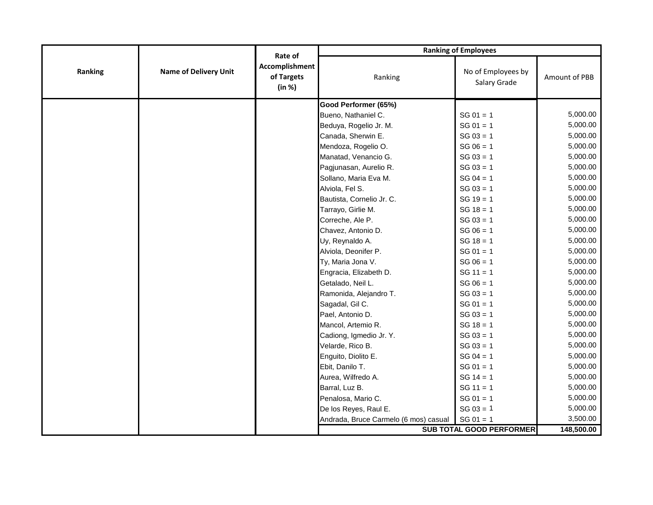|         | <b>Name of Delivery Unit</b> | Rate of<br>Accomplishment<br>of Targets<br>(in %) | <b>Ranking of Employees</b>           |                                    |               |  |
|---------|------------------------------|---------------------------------------------------|---------------------------------------|------------------------------------|---------------|--|
| Ranking |                              |                                                   | Ranking                               | No of Employees by<br>Salary Grade | Amount of PBB |  |
|         |                              |                                                   | Good Performer (65%)                  |                                    |               |  |
|         |                              |                                                   | Bueno, Nathaniel C.                   | $SG 01 = 1$                        | 5,000.00      |  |
|         |                              |                                                   | Beduya, Rogelio Jr. M.                | $SG 01 = 1$                        | 5,000.00      |  |
|         |                              |                                                   | Canada, Sherwin E.                    | $SG 03 = 1$                        | 5,000.00      |  |
|         |                              |                                                   | Mendoza, Rogelio O.                   | $SG 06 = 1$                        | 5,000.00      |  |
|         |                              |                                                   | Manatad, Venancio G.                  | $SG 03 = 1$                        | 5,000.00      |  |
|         |                              |                                                   | Pagjunasan, Aurelio R.                | $SG 03 = 1$                        | 5,000.00      |  |
|         |                              |                                                   | Sollano, Maria Eva M.                 | $SG 04 = 1$                        | 5,000.00      |  |
|         |                              |                                                   | Alviola, Fel S.                       | $SG 03 = 1$                        | 5,000.00      |  |
|         |                              |                                                   | Bautista, Cornelio Jr. C.             | $SG 19 = 1$                        | 5,000.00      |  |
|         |                              |                                                   | Tarrayo, Girlie M.                    | $SG 18 = 1$                        | 5,000.00      |  |
|         |                              |                                                   | Correche, Ale P.                      | $SG 03 = 1$                        | 5,000.00      |  |
|         |                              |                                                   | Chavez, Antonio D.                    | $SG 06 = 1$                        | 5,000.00      |  |
|         |                              |                                                   | Uy, Reynaldo A.                       | $SG 18 = 1$                        | 5,000.00      |  |
|         |                              |                                                   | Alviola, Deonifer P.                  | $SG 01 = 1$                        | 5,000.00      |  |
|         |                              |                                                   | Ty, Maria Jona V.                     | $SG 06 = 1$                        | 5,000.00      |  |
|         |                              |                                                   | Engracia, Elizabeth D.                | $SG 11 = 1$                        | 5,000.00      |  |
|         |                              |                                                   | Getalado, Neil L.                     | $SG 06 = 1$                        | 5,000.00      |  |
|         |                              |                                                   | Ramonida, Alejandro T.                | $SG 03 = 1$                        | 5,000.00      |  |
|         |                              |                                                   | Sagadal, Gil C.                       | $SG 01 = 1$                        | 5,000.00      |  |
|         |                              |                                                   | Pael, Antonio D.                      | $SG 03 = 1$                        | 5,000.00      |  |
|         |                              |                                                   | Mancol, Artemio R.                    | $SG 18 = 1$                        | 5,000.00      |  |
|         |                              |                                                   | Cadiong, Igmedio Jr. Y.               | $SG 03 = 1$                        | 5,000.00      |  |
|         |                              |                                                   | Velarde, Rico B.                      | $SG 03 = 1$                        | 5,000.00      |  |
|         |                              |                                                   | Enguito, Diolito E.                   | $SG 04 = 1$                        | 5,000.00      |  |
|         |                              |                                                   | Ebit, Danilo T.                       | $SG 01 = 1$                        | 5,000.00      |  |
|         |                              |                                                   | Aurea, Wilfredo A.                    | $SG 14 = 1$                        | 5,000.00      |  |
|         |                              |                                                   | Barral, Luz B.                        | $SG 11 = 1$                        | 5,000.00      |  |
|         |                              |                                                   | Penalosa, Mario C.                    | $SG 01 = 1$                        | 5,000.00      |  |
|         |                              |                                                   | De los Reyes, Raul E.                 | $SG 03 = 1$                        | 5,000.00      |  |
|         |                              |                                                   | Andrada, Bruce Carmelo (6 mos) casual | $SG 01 = 1$                        | 3,500.00      |  |
|         |                              |                                                   |                                       | <b>SUB TOTAL GOOD PERFORMER</b>    | 148,500.00    |  |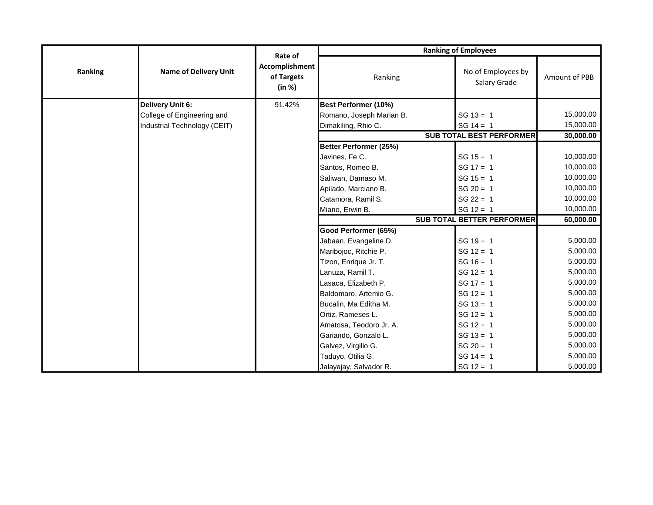|         | <b>Name of Delivery Unit</b> | Rate of<br>Accomplishment<br>of Targets<br>(in %) | <b>Ranking of Employees</b> |                                    |               |  |
|---------|------------------------------|---------------------------------------------------|-----------------------------|------------------------------------|---------------|--|
| Ranking |                              |                                                   | Ranking                     | No of Employees by<br>Salary Grade | Amount of PBB |  |
|         | Delivery Unit 6:             | 91.42%                                            | <b>Best Performer (10%)</b> |                                    |               |  |
|         | College of Engineering and   |                                                   | Romano, Joseph Marian B.    | $SG 13 = 1$                        | 15,000.00     |  |
|         | Industrial Technology (CEIT) |                                                   | Dimakiling, Rhio C.         | $SG 14 = 1$                        | 15,000.00     |  |
|         |                              |                                                   |                             | <b>SUB TOTAL BEST PERFORMER</b>    | 30,000.00     |  |
|         |                              |                                                   | Better Performer (25%)      |                                    |               |  |
|         |                              |                                                   | Javines, Fe C.              | $SG 15 = 1$                        | 10,000.00     |  |
|         |                              |                                                   | Santos, Romeo B.            | $SG 17 = 1$                        | 10,000.00     |  |
|         |                              |                                                   | Saliwan, Damaso M.          | $SG 15 = 1$                        | 10,000.00     |  |
|         |                              |                                                   | Apilado, Marciano B.        | $SG 20 = 1$                        | 10,000.00     |  |
|         |                              |                                                   | Catamora, Ramil S.          | $SG 22 = 1$                        | 10,000.00     |  |
|         |                              |                                                   | Miano, Erwin B.             | $SG 12 = 1$                        | 10,000.00     |  |
|         |                              |                                                   |                             | <b>SUB TOTAL BETTER PERFORMER</b>  | 60,000.00     |  |
|         |                              |                                                   | Good Performer (65%)        |                                    |               |  |
|         |                              |                                                   | Jabaan, Evangeline D.       | $SG 19 = 1$                        | 5,000.00      |  |
|         |                              |                                                   | Maribojoc, Ritchie P.       | $SG 12 = 1$                        | 5,000.00      |  |
|         |                              |                                                   | Tizon, Enrique Jr. T.       | $SG 16 = 1$                        | 5,000.00      |  |
|         |                              |                                                   | Lanuza, Ramil T.            | $SG 12 = 1$                        | 5,000.00      |  |
|         |                              |                                                   | Lasaca, Elizabeth P.        | $SG 17 = 1$                        | 5,000.00      |  |
|         |                              |                                                   | Baldomaro, Artemio G.       | $SG 12 = 1$                        | 5,000.00      |  |
|         |                              |                                                   | Bucalin, Ma Editha M.       | $SG 13 = 1$                        | 5,000.00      |  |
|         |                              |                                                   | Ortiz, Rameses L.           | $SG 12 = 1$                        | 5,000.00      |  |
|         |                              |                                                   | Amatosa, Teodoro Jr. A.     | $SG 12 = 1$                        | 5,000.00      |  |
|         |                              |                                                   | Gariando, Gonzalo L.        | $SG 13 = 1$                        | 5,000.00      |  |
|         |                              |                                                   | Galvez, Virgilio G.         | $SG 20 = 1$                        | 5,000.00      |  |
|         |                              |                                                   | Taduyo, Otilia G.           | $SG 14 = 1$                        | 5,000.00      |  |
|         |                              |                                                   | Jalayajay, Salvador R.      | $SG 12 = 1$                        | 5,000.00      |  |